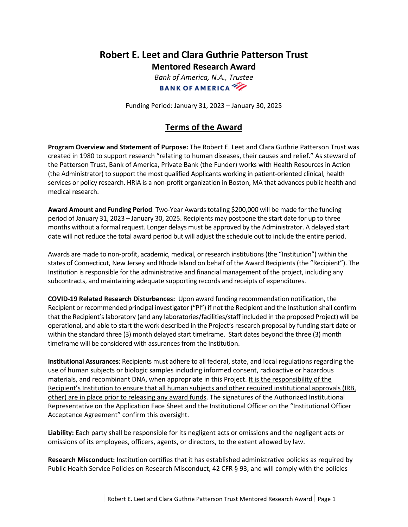## **Robert E. Leet and Clara Guthrie Patterson Trust Mentored Research Award**

*Bank of America, N.A., Trustee* **BANK OF AMERICA** 

Funding Period: January 31, 2023 – January 30, 2025

## **Terms of the Award**

**Program Overview and Statement of Purpose:** The Robert E. Leet and Clara Guthrie Patterson Trust was created in 1980 to support research "relating to human diseases, their causes and relief." As steward of the Patterson Trust, Bank of America, Private Bank (the Funder) works with Health Resources in Action (the Administrator) to support the most qualified Applicants working in patient-oriented clinical, health services or policy research. HRiA is a non-profit organization in Boston, MA that advances public health and medical research.

**Award Amount and Funding Period**: Two-Year Awards totaling \$200,000 will be made for the funding period of January 31, 2023 – January 30, 2025. Recipients may postpone the start date for up to three months without a formal request. Longer delays must be approved by the Administrator. A delayed start date will not reduce the total award period but will adjust the schedule out to include the entire period.

Awards are made to non-profit, academic, medical, or research institutions (the "Institution") within the states of Connecticut, New Jersey and Rhode Island on behalf of the Award Recipients (the "Recipient"). The Institution is responsible for the administrative and financial management of the project, including any subcontracts, and maintaining adequate supporting records and receipts of expenditures.

**COVID-19 Related Research Disturbances:** Upon award funding recommendation notification, the Recipient or recommended principal investigator ("PI") if not the Recipient and the Institution shall confirm that the Recipient's laboratory (and any laboratories/facilities/staff included in the proposed Project) will be operational, and able to start the work described in the Project's research proposal by funding start date or within the standard three (3) month delayed start timeframe. Start dates beyond the three (3) month timeframe will be considered with assurances from the Institution.

**Institutional Assurances**: Recipients must adhere to all federal, state, and local regulations regarding the use of human subjects or biologic samples including informed consent, radioactive or hazardous materials, and recombinant DNA, when appropriate in this Project. It is the responsibility of the Recipient's Institution to ensure that all human subjects and other required institutional approvals (IRB, other) are in place prior to releasing any award funds. The signatures of the Authorized Institutional Representative on the Application Face Sheet and the Institutional Officer on the "Institutional Officer Acceptance Agreement" confirm this oversight.

**Liability:** Each party shall be responsible for its negligent acts or omissions and the negligent acts or omissions of its employees, officers, agents, or directors, to the extent allowed by law.

**Research Misconduct:** Institution certifies that it has established administrative policies as required by Public Health Service Policies on Research Misconduct, 42 CFR § 93, and will comply with the policies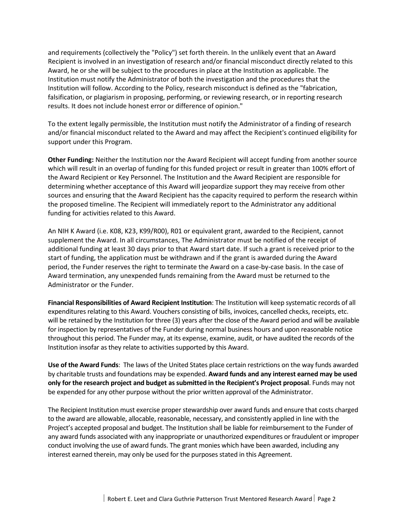and requirements (collectively the "Policy") set forth therein. In the unlikely event that an Award Recipient is involved in an investigation of research and/or financial misconduct directly related to this Award, he or she will be subject to the procedures in place at the Institution as applicable. The Institution must notify the Administrator of both the investigation and the procedures that the Institution will follow. According to the Policy, research misconduct is defined as the "fabrication, falsification, or plagiarism in proposing, performing, or reviewing research, or in reporting research results. It does not include honest error or difference of opinion."

To the extent legally permissible, the Institution must notify the Administrator of a finding of research and/or financial misconduct related to the Award and may affect the Recipient's continued eligibility for support under this Program.

**Other Funding:** Neither the Institution nor the Award Recipient will accept funding from another source which will result in an overlap of funding for this funded project or result in greater than 100% effort of the Award Recipient or Key Personnel. The Institution and the Award Recipient are responsible for determining whether acceptance of this Award will jeopardize support they may receive from other sources and ensuring that the Award Recipient has the capacity required to perform the research within the proposed timeline. The Recipient will immediately report to the Administrator any additional funding for activities related to this Award.

An NIH K Award (i.e. K08, K23, K99/R00), R01 or equivalent grant, awarded to the Recipient, cannot supplement the Award. In all circumstances, The Administrator must be notified of the receipt of additional funding at least 30 days prior to that Award start date. If such a grant is received prior to the start of funding, the application must be withdrawn and if the grant is awarded during the Award period, the Funder reserves the right to terminate the Award on a case-by-case basis. In the case of Award termination, any unexpended funds remaining from the Award must be returned to the Administrator or the Funder.

**Financial Responsibilities of Award Recipient Institution**: The Institution will keep systematic records of all expenditures relating to this Award. Vouchers consisting of bills, invoices, cancelled checks, receipts, etc. will be retained by the Institution for three (3) years after the close of the Award period and will be available for inspection by representatives of the Funder during normal business hours and upon reasonable notice throughout this period. The Funder may, at its expense, examine, audit, or have audited the records of the Institution insofar as they relate to activities supported by this Award.

**Use of the Award Funds**: The laws of the United States place certain restrictions on the way funds awarded by charitable trusts and foundations may be expended. **Award funds and any interest earned may be used only for the research project and budget as submitted in the Recipient's Project proposal**. Funds may not be expended for any other purpose without the prior written approval of the Administrator.

The Recipient Institution must exercise proper stewardship over award funds and ensure that costs charged to the award are allowable, allocable, reasonable, necessary, and consistently applied in line with the Project's accepted proposal and budget. The Institution shall be liable for reimbursement to the Funder of any award funds associated with any inappropriate or unauthorized expenditures or fraudulent or improper conduct involving the use of award funds. The grant monies which have been awarded, including any interest earned therein, may only be used for the purposes stated in this Agreement.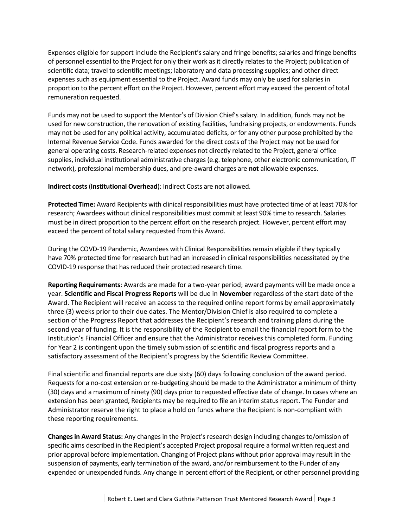Expenses eligible for support include the Recipient's salary and fringe benefits; salaries and fringe benefits of personnel essential to the Project for only their work as it directly relates to the Project; publication of scientific data; travel to scientific meetings; laboratory and data processing supplies; and other direct expenses such as equipment essential to the Project. Award funds may only be used for salaries in proportion to the percent effort on the Project. However, percent effort may exceed the percent of total remuneration requested.

Funds may not be used to support the Mentor's of Division Chief's salary. In addition, funds may not be used for new construction, the renovation of existing facilities, fundraising projects, or endowments. Funds may not be used for any political activity, accumulated deficits, or for any other purpose prohibited by the Internal Revenue Service Code. Funds awarded for the direct costs of the Project may not be used for general operating costs. Research-related expenses not directly related to the Project, general office supplies, individual institutional administrative charges (e.g. telephone, other electronic communication, IT network), professional membership dues, and pre-award charges are **not** allowable expenses.

**Indirect costs**(**Institutional Overhead**): Indirect Costs are not allowed.

**Protected Time:** Award Recipients with clinical responsibilities must have protected time of at least 70% for research; Awardees without clinical responsibilities must commit at least 90% time to research. Salaries must be in direct proportion to the percent effort on the research project. However, percent effort may exceed the percent of total salary requested from this Award.

During the COVD-19 Pandemic, Awardees with Clinical Responsibilities remain eligible if they typically have 70% protected time for research but had an increased in clinical responsibilities necessitated by the COVID-19 response that has reduced their protected research time.

**Reporting Requirements**: Awards are made for a two-year period; award payments will be made once a year. **Scientific and Fiscal Progress Reports** will be due in **November** regardless of the start date of the Award. The Recipient will receive an access to the required online report forms by email approximately three (3) weeks prior to their due dates. The Mentor/Division Chief is also required to complete a section of the Progress Report that addresses the Recipient's research and training plans during the second year of funding. It is the responsibility of the Recipient to email the financial report form to the Institution's Financial Officer and ensure that the Administrator receives this completed form. Funding for Year 2 is contingent upon the timely submission of scientific and fiscal progress reports and a satisfactory assessment of the Recipient's progress by the Scientific Review Committee.

Final scientific and financial reports are due sixty (60) days following conclusion of the award period. Requests for a no-cost extension or re-budgeting should be made to the Administrator a minimum of thirty (30) days and a maximum of ninety (90) days prior to requested effective date of change. In cases where an extension has been granted, Recipients may be required to file an interim status report. The Funder and Administrator reserve the right to place a hold on funds where the Recipient is non-compliant with these reporting requirements.

**Changes in Award Status:** Any changes in the Project's research design including changes to/omission of specific aims described in the Recipient's accepted Project proposal require a formal written request and prior approval before implementation. Changing of Project plans without prior approval may result in the suspension of payments, early termination of the award, and/or reimbursement to the Funder of any expended or unexpended funds. Any change in percent effort of the Recipient, or other personnel providing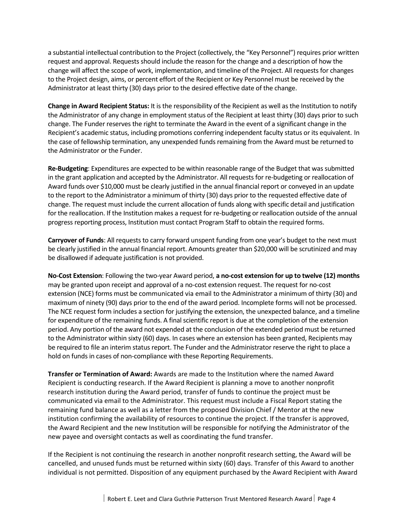a substantial intellectual contribution to the Project (collectively, the "Key Personnel") requires prior written request and approval. Requests should include the reason for the change and a description of how the change will affect the scope of work, implementation, and timeline of the Project. All requests for changes to the Project design, aims, or percent effort of the Recipient or Key Personnel must be received by the Administrator at least thirty (30) days prior to the desired effective date of the change.

**Change in Award Recipient Status:** It is the responsibility of the Recipient as well as the Institution to notify the Administrator of any change in employment status of the Recipient at least thirty (30) days prior to such change. The Funder reserves the right to terminate the Award in the event of a significant change in the Recipient's academic status, including promotions conferring independent faculty status or its equivalent. In the case of fellowship termination, any unexpended funds remaining from the Award must be returned to the Administrator or the Funder.

**Re-Budgeting**: Expenditures are expected to be within reasonable range of the Budget that was submitted in the grant application and accepted by the Administrator. All requests for re-budgeting or reallocation of Award funds over \$10,000 must be clearly justified in the annual financial report or conveyed in an update to the report to the Administrator a minimum of thirty (30) days prior to the requested effective date of change. The request must include the current allocation of funds along with specific detail and justification for the reallocation. If the Institution makes a request for re-budgeting or reallocation outside of the annual progress reporting process, Institution must contact Program Staff to obtain the required forms.

**Carryover of Funds**: All requests to carry forward unspent funding from one year's budget to the next must be clearly justified in the annual financial report. Amounts greater than \$20,000 will be scrutinized and may be disallowed if adequate justification is not provided.

**No-Cost Extension**: Following the two-year Award period, **a no-cost extension for up to twelve (12) months**  may be granted upon receipt and approval of a no-cost extension request. The request for no-cost extension (NCE) forms must be communicated via email to the Administrator a minimum of thirty (30) and maximum of ninety (90) days prior to the end of the award period. Incomplete forms will not be processed. The NCE request form includes a section for justifying the extension, the unexpected balance, and a timeline for expenditure of the remaining funds. A final scientific report is due at the completion of the extension period. Any portion of the award not expended at the conclusion of the extended period must be returned to the Administrator within sixty (60) days. In cases where an extension has been granted, Recipients may be required to file an interim status report. The Funder and the Administrator reserve the right to place a hold on funds in cases of non-compliance with these Reporting Requirements.

**Transfer or Termination of Award:** Awards are made to the Institution where the named Award Recipient is conducting research. If the Award Recipient is planning a move to another nonprofit research institution during the Award period, transfer of funds to continue the project must be communicated via email to the Administrator. This request must include a Fiscal Report stating the remaining fund balance as well as a letter from the proposed Division Chief / Mentor at the new institution confirming the availability of resources to continue the project. If the transfer is approved, the Award Recipient and the new Institution will be responsible for notifying the Administrator of the new payee and oversight contacts as well as coordinating the fund transfer.

If the Recipient is not continuing the research in another nonprofit research setting, the Award will be cancelled, and unused funds must be returned within sixty (60) days. Transfer of this Award to another individual is not permitted. Disposition of any equipment purchased by the Award Recipient with Award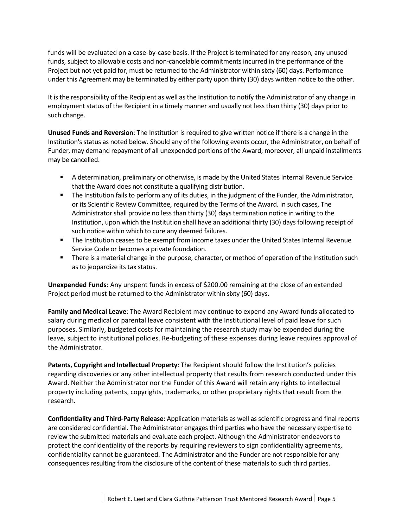funds will be evaluated on a case-by-case basis. If the Project is terminated for any reason, any unused funds, subject to allowable costs and non-cancelable commitments incurred in the performance of the Project but not yet paid for, must be returned to the Administrator within sixty (60) days. Performance under this Agreement may be terminated by either party upon thirty (30) days written notice to the other.

It is the responsibility of the Recipient as well as the Institution to notify the Administrator of any change in employment status of the Recipient in a timely manner and usually not less than thirty (30) days prior to such change.

**Unused Funds and Reversion**: The Institution is required to give written notice if there is a change in the Institution's status as noted below. Should any of the following events occur, the Administrator, on behalf of Funder, may demand repayment of all unexpended portions of the Award; moreover, all unpaid installments may be cancelled.

- A determination, preliminary or otherwise, is made by the United States Internal Revenue Service that the Award does not constitute a qualifying distribution.
- The Institution fails to perform any of its duties, in the judgment of the Funder, the Administrator, or its Scientific Review Committee, required by the Terms of the Award. In such cases, The Administrator shall provide no less than thirty (30) days termination notice in writing to the Institution, upon which the Institution shall have an additional thirty (30) days following receipt of such notice within which to cure any deemed failures.
- The Institution ceases to be exempt from income taxes under the United States Internal Revenue Service Code or becomes a private foundation.
- **There is a material change in the purpose, character, or method of operation of the Institution such** as to jeopardize its tax status.

**Unexpended Funds**: Any unspent funds in excess of \$200.00 remaining at the close of an extended Project period must be returned to the Administrator within sixty (60) days.

**Family and Medical Leave**: The Award Recipient may continue to expend any Award funds allocated to salary during medical or parental leave consistent with the Institutional level of paid leave for such purposes. Similarly, budgeted costs for maintaining the research study may be expended during the leave, subject to institutional policies. Re-budgeting of these expenses during leave requires approval of the Administrator.

**Patents, Copyright and Intellectual Property**: The Recipient should follow the Institution's policies regarding discoveries or any other intellectual property that results from research conducted under this Award. Neither the Administrator nor the Funder of this Award will retain any rights to intellectual property including patents, copyrights, trademarks, or other proprietary rights that result from the research.

**Confidentiality and Third-Party Release:** Application materials as well as scientific progress and final reports are considered confidential. The Administrator engages third parties who have the necessary expertise to review the submitted materials and evaluate each project. Although the Administrator endeavors to protect the confidentiality of the reports by requiring reviewers to sign confidentiality agreements, confidentiality cannot be guaranteed. The Administrator and the Funder are not responsible for any consequences resulting from the disclosure of the content of these materials to such third parties.